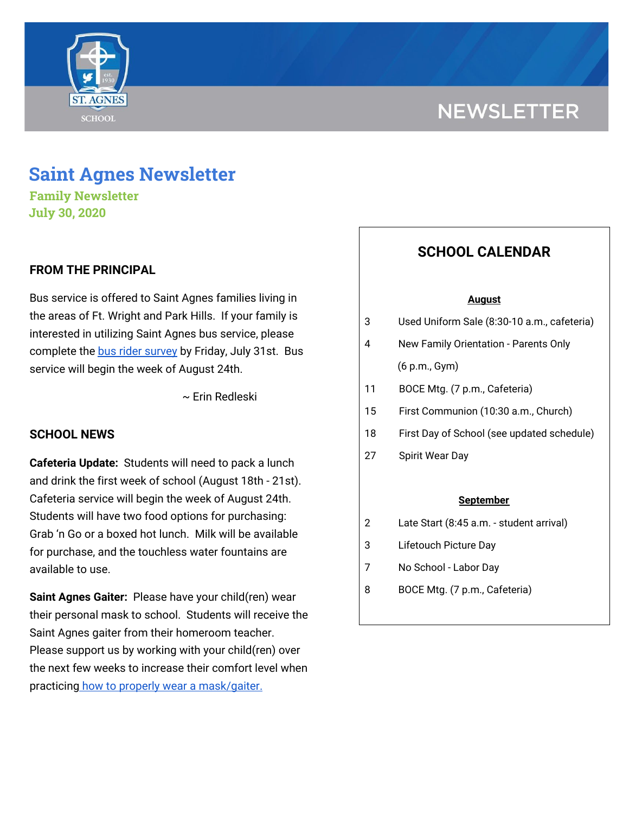

# **NEWSLETTER**

## **Saint Agnes Newsletter**

**Family Newsletter July 30, 2020**

## **FROM THE PRINCIPAL**

Bus service is offered to Saint Agnes families living in the areas of Ft. Wright and Park Hills. If your family is interested in utilizing Saint Agnes bus service, please complete the bus rider [survey](https://docs.google.com/forms/d/e/1FAIpQLScvNBUr91syxoRje8lR5fopPXQuMohva--55mNUS0WU2FFmRw/viewform?usp=sf_link) by Friday, July 31st. Bus service will begin the week of August 24th.

~ Erin Redleski

### **SCHOOL NEWS**

**Cafeteria Update:** Students will need to pack a lunch and drink the first week of school (August 18th - 21st). Cafeteria service will begin the week of August 24th. Students will have two food options for purchasing: Grab 'n Go or a boxed hot lunch. Milk will be available for purchase, and the touchless water fountains are available to use.

**Saint Agnes Gaiter:** Please have your child(ren) wear their personal mask to school. Students will receive the Saint Agnes gaiter from their homeroom teacher. Please support us by working with your child(ren) over the next few weeks to increase their comfort level when practicing how to properly wear a [mask/gaiter.](https://school.saintagnes.com/wp-content/uploads/2020/07/wearing-a-cloth-face-covering.pdf)

## **SCHOOL CALENDAR**

#### **August**

- 3 Used Uniform Sale (8:30-10 a.m., cafeteria)
- 4 New Family Orientation Parents Only (6 p.m., Gym)
- 11 BOCE Mtg. (7 p.m., Cafeteria)
- 15 First Communion (10:30 a.m., Church)
- 18 First Day of School (see updated schedule)
- 27 Spirit Wear Day

#### **September**

- 2 Late Start (8:45 a.m. student arrival)
- 3 Lifetouch Picture Day
- 7 No School Labor Day
- 8 BOCE Mtg. (7 p.m., Cafeteria)